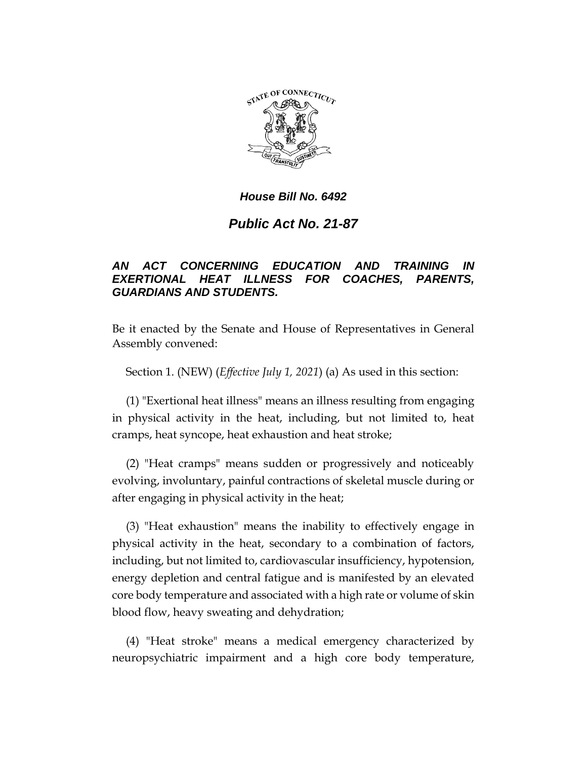

# *Public Act No. 21-87*

## *AN ACT CONCERNING EDUCATION AND TRAINING IN EXERTIONAL HEAT ILLNESS FOR COACHES, PARENTS, GUARDIANS AND STUDENTS.*

Be it enacted by the Senate and House of Representatives in General Assembly convened:

Section 1. (NEW) (*Effective July 1, 2021*) (a) As used in this section:

(1) "Exertional heat illness" means an illness resulting from engaging in physical activity in the heat, including, but not limited to, heat cramps, heat syncope, heat exhaustion and heat stroke;

(2) "Heat cramps" means sudden or progressively and noticeably evolving, involuntary, painful contractions of skeletal muscle during or after engaging in physical activity in the heat;

(3) "Heat exhaustion" means the inability to effectively engage in physical activity in the heat, secondary to a combination of factors, including, but not limited to, cardiovascular insufficiency, hypotension, energy depletion and central fatigue and is manifested by an elevated core body temperature and associated with a high rate or volume of skin blood flow, heavy sweating and dehydration;

(4) "Heat stroke" means a medical emergency characterized by neuropsychiatric impairment and a high core body temperature,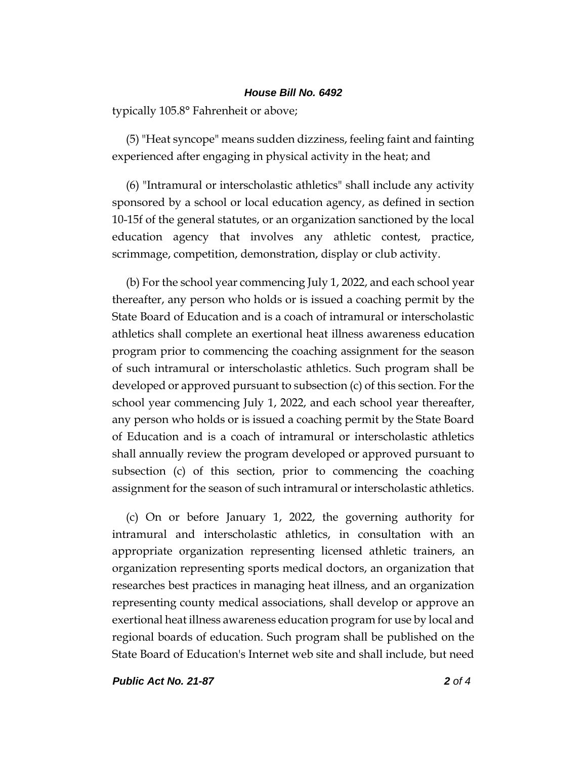typically 105.8° Fahrenheit or above;

(5) "Heat syncope" means sudden dizziness, feeling faint and fainting experienced after engaging in physical activity in the heat; and

(6) "Intramural or interscholastic athletics" shall include any activity sponsored by a school or local education agency, as defined in section 10-15f of the general statutes, or an organization sanctioned by the local education agency that involves any athletic contest, practice, scrimmage, competition, demonstration, display or club activity.

(b) For the school year commencing July 1, 2022, and each school year thereafter, any person who holds or is issued a coaching permit by the State Board of Education and is a coach of intramural or interscholastic athletics shall complete an exertional heat illness awareness education program prior to commencing the coaching assignment for the season of such intramural or interscholastic athletics. Such program shall be developed or approved pursuant to subsection (c) of this section. For the school year commencing July 1, 2022, and each school year thereafter, any person who holds or is issued a coaching permit by the State Board of Education and is a coach of intramural or interscholastic athletics shall annually review the program developed or approved pursuant to subsection (c) of this section, prior to commencing the coaching assignment for the season of such intramural or interscholastic athletics.

(c) On or before January 1, 2022, the governing authority for intramural and interscholastic athletics, in consultation with an appropriate organization representing licensed athletic trainers, an organization representing sports medical doctors, an organization that researches best practices in managing heat illness, and an organization representing county medical associations, shall develop or approve an exertional heat illness awareness education program for use by local and regional boards of education. Such program shall be published on the State Board of Education's Internet web site and shall include, but need

*Public Act No. 21-87 2 of 4*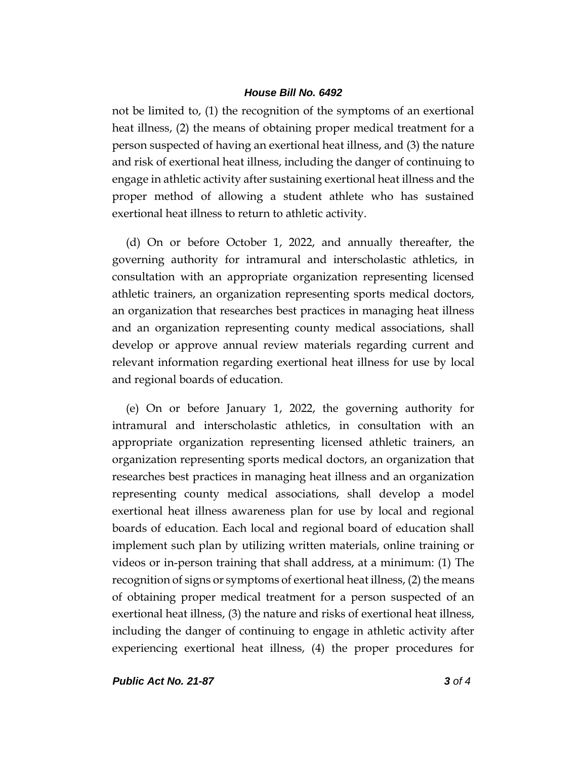not be limited to, (1) the recognition of the symptoms of an exertional heat illness, (2) the means of obtaining proper medical treatment for a person suspected of having an exertional heat illness, and (3) the nature and risk of exertional heat illness, including the danger of continuing to engage in athletic activity after sustaining exertional heat illness and the proper method of allowing a student athlete who has sustained exertional heat illness to return to athletic activity.

(d) On or before October 1, 2022, and annually thereafter, the governing authority for intramural and interscholastic athletics, in consultation with an appropriate organization representing licensed athletic trainers, an organization representing sports medical doctors, an organization that researches best practices in managing heat illness and an organization representing county medical associations, shall develop or approve annual review materials regarding current and relevant information regarding exertional heat illness for use by local and regional boards of education.

(e) On or before January 1, 2022, the governing authority for intramural and interscholastic athletics, in consultation with an appropriate organization representing licensed athletic trainers, an organization representing sports medical doctors, an organization that researches best practices in managing heat illness and an organization representing county medical associations, shall develop a model exertional heat illness awareness plan for use by local and regional boards of education. Each local and regional board of education shall implement such plan by utilizing written materials, online training or videos or in-person training that shall address, at a minimum: (1) The recognition of signs or symptoms of exertional heat illness, (2) the means of obtaining proper medical treatment for a person suspected of an exertional heat illness, (3) the nature and risks of exertional heat illness, including the danger of continuing to engage in athletic activity after experiencing exertional heat illness, (4) the proper procedures for